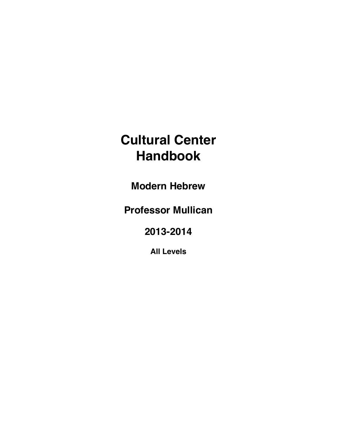# **Cultural Center Handbook**

**Modern Hebrew** 

**Professor Mullican**

**2013-2014**

**All Levels**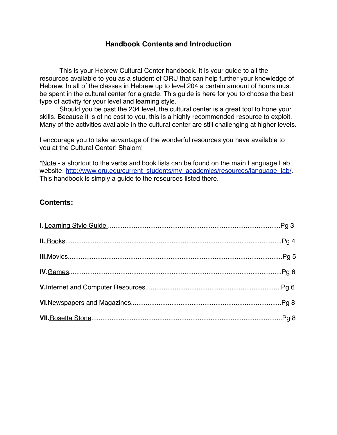## **Handbook Contents and Introduction**

This is your Hebrew Cultural Center handbook. It is your guide to all the resources available to you as a student of ORU that can help further your knowledge of Hebrew. In all of the classes in Hebrew up to level 204 a certain amount of hours must be spent in the cultural center for a grade. This guide is here for you to choose the best type of activity for your level and learning style.

Should you be past the 204 level, the cultural center is a great tool to hone your skills. Because it is of no cost to you, this is a highly recommended resource to exploit. Many of the activities available in the cultural center are still challenging at higher levels.

I encourage you to take advantage of the wonderful resources you have available to you at the Cultural Center! Shalom!

\*Note - a shortcut to the verbs and book lists can be found on the main Language Lab website: [http://www.oru.edu/current\\_students/my\\_academics/resources/language\\_lab/.](http://www.oru.edu/current_students/my_academics/resources/language_lab/) This handbook is simply a guide to the resources listed there.

# **Contents:**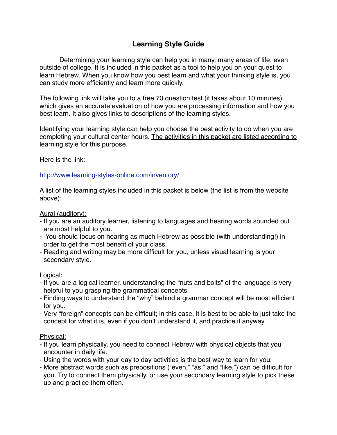# **Learning Style Guide**

Determining your learning style can help you in many, many areas of life, even outside of college. It is included in this packet as a tool to help you on your quest to learn Hebrew. When you know how you best learn and what your thinking style is, you can study more efficiently and learn more quickly.

The following link will take you to a free 70 question test (it takes about 10 minutes) which gives an accurate evaluation of how you are processing information and how you best learn. It also gives links to descriptions of the learning styles.

Identifying your learning style can help you choose the best activity to do when you are completing your cultural center hours. The activities in this packet are listed according to learning style for this purpose.

Here is the link:

#### <http://www.learning-styles-online.com/inventory/>

A list of the learning styles included in this packet is below (the list is from the website above):

Aural (auditory):

- If you are an auditory learner, listening to languages and hearing words sounded out are most helpful to you.
- You should focus on hearing as much Hebrew as possible (with understanding!) in order to get the most benefit of your class.
- Reading and writing may be more difficult for you, unless visual learning is your secondary style.

#### Logical:

- If you are a logical learner, understanding the "nuts and bolts" of the language is very helpful to you grasping the grammatical concepts.
- Finding ways to understand the "why" behind a grammar concept will be most efficient for you.
- Very "foreign" concepts can be difficult; in this case, it is best to be able to just take the concept for what it is, even if you don't understand it, and practice it anyway.

#### Physical:

- If you learn physically, you need to connect Hebrew with physical objects that you encounter in daily life.
- Using the words with your day to day activities is the best way to learn for you.
- More abstract words such as prepositions ("even," "as," and "like,") can be difficult for you. Try to connect them physically, or use your secondary learning style to pick these up and practice them often.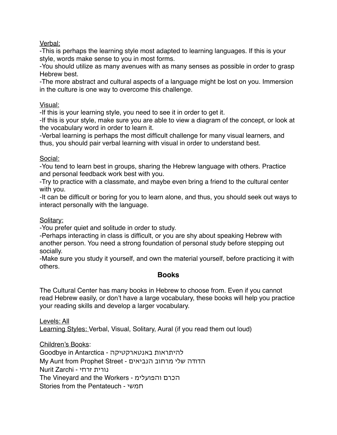Verbal:

-This is perhaps the learning style most adapted to learning languages. If this is your style, words make sense to you in most forms.

-You should utilize as many avenues with as many senses as possible in order to grasp Hebrew best.

-The more abstract and cultural aspects of a language might be lost on you. Immersion in the culture is one way to overcome this challenge.

Visual:

-If this is your learning style, you need to see it in order to get it.

-If this is your style, make sure you are able to view a diagram of the concept, or look at the vocabulary word in order to learn it.

-Verbal learning is perhaps the most difficult challenge for many visual learners, and thus, you should pair verbal learning with visual in order to understand best.

## Social:

-You tend to learn best in groups, sharing the Hebrew language with others. Practice and personal feedback work best with you.

-Try to practice with a classmate, and maybe even bring a friend to the cultural center with you.

-It can be difficult or boring for you to learn alone, and thus, you should seek out ways to interact personally with the language.

Solitary:

-You prefer quiet and solitude in order to study.

-Perhaps interacting in class is difficult, or you are shy about speaking Hebrew with another person. You need a strong foundation of personal study before stepping out socially.

-Make sure you study it yourself, and own the material yourself, before practicing it with others.

# **Books**

The Cultural Center has many books in Hebrew to choose from. Even if you cannot read Hebrew easily, or don't have a large vocabulary, these books will help you practice your reading skills and develop a larger vocabulary.

Levels: All Learning Styles: Verbal, Visual, Solitary, Aural (if you read them out loud)

Children's Books: Goodbye in Antarctica - באנטארקטיקה להיתראות My Aunt from Prophet Street - הנביאים מרחוב שלי הדודה נורית זרחי - Nurit Zarchi The Vineyard and the Workers - והפועלימ הכרם Stories from the Pentateuch - חמשי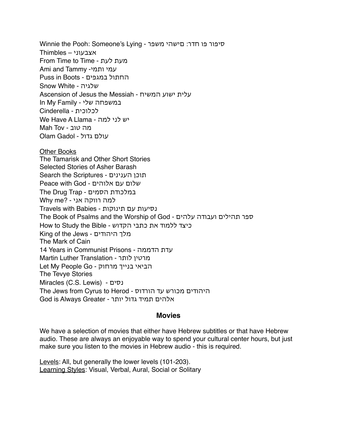Winnie the Pooh: Someone's Lying - משפר םישהי :חדר פו סיפור אצבעוני – Thimbles From Time to Time - לעת מעת Ami and Tammy -עמי ותמי Puss in Boots - במגפים החתול Snow White - שלגיה Ascension of Jesus the Messiah - המשיח ישוע עלית In My Family - שלי במשפחה לכלוכית - Cinderella We Have A Llama - למה לני יש מה טוב - Tov Mah עולם גדול - Gadol Olam

Other Books The Tamarisk and Other Short Stories Selected Stories of Asher Barash Search the Scriptures - הענינים תוכן שלום עם אלוהים - God with Peace The Drug Trap - הסמים במלכודת למה רווקה אני - ?Why me נסיעות עם תינוקות - Babies with Travels The Book of Psalms and the Worship of God - עלהים ועבודה תהילים ספר כיצד ללמוד את כתבי הקדוש - Bible the Study to How King of the Jews - היהודים מלך The Mark of Cain 14 Years in Communist Prisons - הדממה עדת Martin Luther Translation - לותר מרטין Let My People Go - מרחוק בנייך הביאי The Tevye Stories Miracles (C.S. Lewis) - נסים The Jews from Cyrus to Herod - הורדוס עד מכורש היהודים אלהים תמיד גדול יותר - Greater Always is God

#### **Movies**

We have a selection of movies that either have Hebrew subtitles or that have Hebrew audio. These are always an enjoyable way to spend your cultural center hours, but just make sure you listen to the movies in Hebrew audio - this is required.

Levels: All, but generally the lower levels (101-203). Learning Styles: Visual, Verbal, Aural, Social or Solitary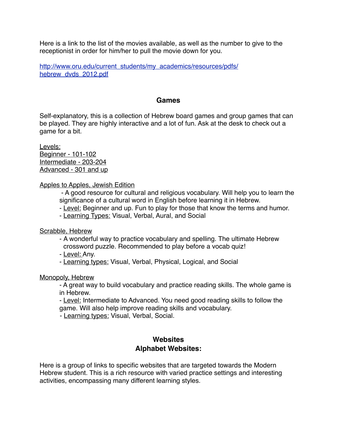Here is a link to the list of the movies available, as well as the number to give to the receptionist in order for him/her to pull the movie down for you.

[http://www.oru.edu/current\\_students/my\\_academics/resources/pdfs/](http://www.oru.edu/current_students/my_academics/resources/pdfs/hebrew_dvds_2012.pdf) [hebrew\\_dvds\\_2012.pdf](http://www.oru.edu/current_students/my_academics/resources/pdfs/hebrew_dvds_2012.pdf)

#### **Games**

Self-explanatory, this is a collection of Hebrew board games and group games that can be played. They are highly interactive and a lot of fun. Ask at the desk to check out a game for a bit.

Levels: Beginner - 101-102 Intermediate - 203-204 Advanced - 301 and up

#### Apples to Apples, Jewish Edition

 - A good resource for cultural and religious vocabulary. Will help you to learn the significance of a cultural word in English before learning it in Hebrew.

- Level: Beginner and up. Fun to play for those that know the terms and humor.

- Learning Types: Visual, Verbal, Aural, and Social

Scrabble, Hebrew

- A wonderful way to practice vocabulary and spelling. The ultimate Hebrew crossword puzzle. Recommended to play before a vocab quiz!

- Level: Any.
- Learning types: Visual, Verbal, Physical, Logical, and Social

Monopoly, Hebrew

- A great way to build vocabulary and practice reading skills. The whole game is in Hebrew.

- Level: Intermediate to Advanced. You need good reading skills to follow the game. Will also help improve reading skills and vocabulary.

- Learning types: Visual, Verbal, Social.

## **Websites Alphabet Websites:**

Here is a group of links to specific websites that are targeted towards the Modern Hebrew student. This is a rich resource with varied practice settings and interesting activities, encompassing many different learning styles.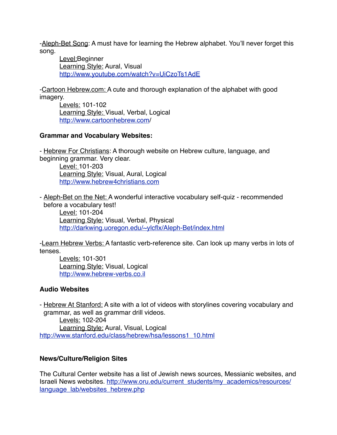-Aleph-Bet Song: A must have for learning the Hebrew alphabet. You'll never forget this song.

Level:Beginner Learning Style: Aural, Visual <http://www.youtube.com/watch?v=UiCzoTs1AdE>

-Cartoon Hebrew.com: A cute and thorough explanation of the alphabet with good imagery.

Levels: 101-102 Learning Style: Visual, Verbal, Logical <http://www.cartoonhebrew.com>/

## **Grammar and Vocabulary Websites:**

- Hebrew For Christians: A thorough website on Hebrew culture, language, and beginning grammar. Very clear.

Level: 101-203 Learning Style: Visual, Aural, Logical <http://www.hebrew4christians.com>

- Aleph-Bet on the Net: A wonderful interactive vocabulary self-quiz - recommended before a vocabulary test! Level: 101-204

Learning Style: Visual, Verbal, Physical <http://darkwing.uoregon.edu/~ylcflx/Aleph-Bet/index.html>

-Learn Hebrew Verbs: A fantastic verb-reference site. Can look up many verbs in lots of tenses.

Levels: 101-301 Learning Style: Visual, Logical <http://www.hebrew-verbs.co.il>

# **Audio Websites**

- Hebrew At Stanford: A site with a lot of videos with storylines covering vocabulary and grammar, as well as grammar drill videos.

Levels: 102-204 Learning Style: Aural, Visual, Logical [http://www.stanford.edu/class/hebrew/hsa/lessons1\\_10.html](http://www.stanford.edu/class/hebrew/hsa/lessons1_10.html)

## **News/Culture/Religion Sites**

The Cultural Center website has a list of Jewish news sources, Messianic websites, and Israeli News websites. [http://www.oru.edu/current\\_students/my\\_academics/resources/](http://www.oru.edu/current_students/my_academics/resources/language_lab/websites_hebrew.php) [language\\_lab/websites\\_hebrew.php](http://www.oru.edu/current_students/my_academics/resources/language_lab/websites_hebrew.php)